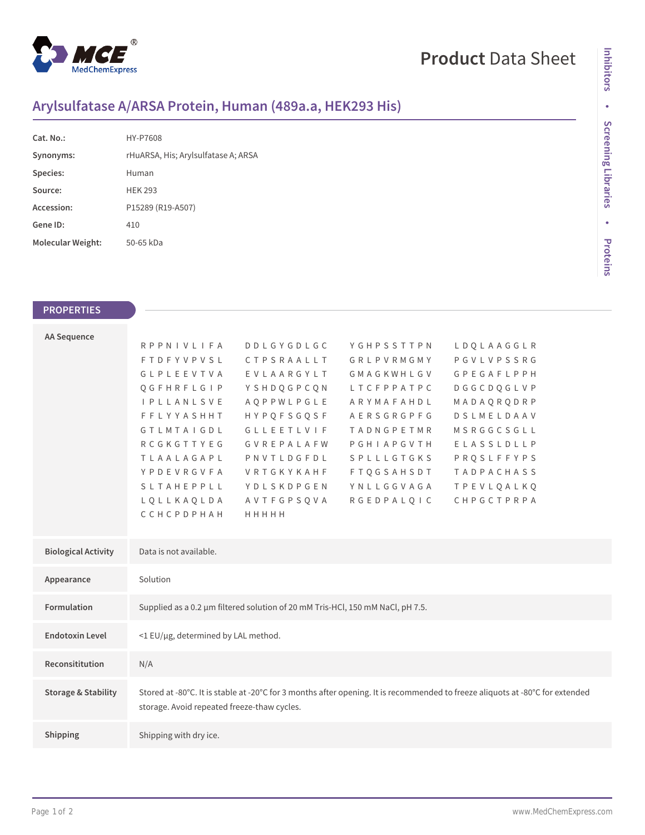

# **Product** Data Sheet

## **Arylsulfatase A/ARSA Protein, Human (489a.a, HEK293 His)**

| Cat. No.:         | HY-P7608                            |
|-------------------|-------------------------------------|
| Synonyms:         | rHuARSA, His; Arylsulfatase A; ARSA |
| Species:          | Human                               |
| Source:           | <b>HFK 293</b>                      |
| Accession:        | P15289 (R19-A507)                   |
| Gene ID:          | 410                                 |
| Molecular Weight: | 50-65 kDa                           |

### **PROPERTIES**

| <b>AA Sequence</b>             |                                                                                                                                                                              |                   |                   |                   |  |  |
|--------------------------------|------------------------------------------------------------------------------------------------------------------------------------------------------------------------------|-------------------|-------------------|-------------------|--|--|
|                                | <b>RPPNIVLIFA</b>                                                                                                                                                            | <b>DDLGYGDLGC</b> | YGHPSSTTPN        | LDQLAAGGLR        |  |  |
|                                | <b>FTDFYVPVSL</b>                                                                                                                                                            | CTPSRAALLT        | GRLPVRMGMY        | PGVLVPSSRG        |  |  |
|                                | <b>GLPLEEVTVA</b>                                                                                                                                                            | EVLAARGYLT        | GMAGKWHLGV        | <b>GPEGAFLPPH</b> |  |  |
|                                | QGFHRFLGIP                                                                                                                                                                   | YSHDQGPCQN        | LTCFPPATPC        | <b>DGGCDQGLVP</b> |  |  |
|                                | <b>I P L L A N L S V E</b>                                                                                                                                                   | AQPPWLPGLE        | ARYMAFAHDL        | MADAQRQDRP        |  |  |
|                                | <b>FFLYYASHHT</b>                                                                                                                                                            | <b>HYPQFSGQSF</b> | AERSGRGPFG        | DSLMELDAAV        |  |  |
|                                | <b>GTLMTAIGDL</b>                                                                                                                                                            | <b>GLLEETLVIF</b> | <b>TADNGPETMR</b> | MSRGGCSGLL        |  |  |
|                                | RCGKGTTYEG                                                                                                                                                                   | GVREPALAFW        | PGHIAPGVTH        | ELASSLDLLP        |  |  |
|                                | TLAALAGAPL                                                                                                                                                                   | PNVTLDGFDL        | <b>SPLLLGTGKS</b> | PRQSLFFYPS        |  |  |
|                                | YPDEVRGVFA                                                                                                                                                                   | VRTGKYKAHF        | <b>FTOGSAHSDT</b> | <b>TADPACHASS</b> |  |  |
|                                | <b>SLTAHEPPLL</b>                                                                                                                                                            | YDLSKDPGEN        | YNLLGGVAGA        | <b>TPEVLOALKO</b> |  |  |
|                                | LQLLKAQLDA                                                                                                                                                                   | AVTFGPSQVA        | <b>RGEDPALQIC</b> | CHPGCTPRPA        |  |  |
|                                | CCHCPDPHAH                                                                                                                                                                   | HHHHH             |                   |                   |  |  |
|                                |                                                                                                                                                                              |                   |                   |                   |  |  |
| <b>Biological Activity</b>     | Data is not available.                                                                                                                                                       |                   |                   |                   |  |  |
| Appearance                     | Solution                                                                                                                                                                     |                   |                   |                   |  |  |
| <b>Formulation</b>             | Supplied as a 0.2 µm filtered solution of 20 mM Tris-HCl, 150 mM NaCl, pH 7.5.                                                                                               |                   |                   |                   |  |  |
| <b>Endotoxin Level</b>         | <1 EU/µg, determined by LAL method.                                                                                                                                          |                   |                   |                   |  |  |
| Reconsititution                | N/A                                                                                                                                                                          |                   |                   |                   |  |  |
| <b>Storage &amp; Stability</b> | Stored at -80°C. It is stable at -20°C for 3 months after opening. It is recommended to freeze aliquots at -80°C for extended<br>storage. Avoid repeated freeze-thaw cycles. |                   |                   |                   |  |  |
| Shipping                       | Shipping with dry ice.                                                                                                                                                       |                   |                   |                   |  |  |